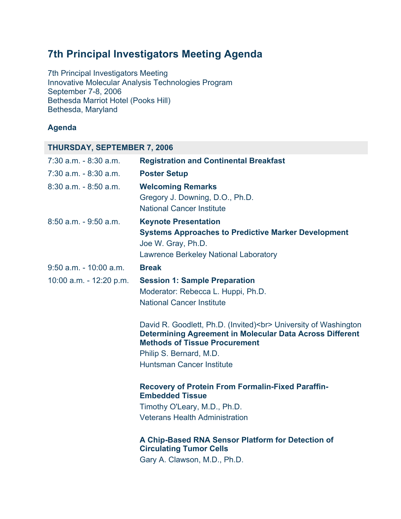# **7th Principal Investigators Meeting Agenda**

7th Principal Investigators Meeting Innovative Molecular Analysis Technologies Program September 7-8, 2006 Bethesda Marriot Hotel (Pooks Hill) Bethesda, Maryland

## **Agenda**

| <b>THURSDAY, SEPTEMBER 7, 2006</b> |                                                                                                                                                                                                                                          |  |
|------------------------------------|------------------------------------------------------------------------------------------------------------------------------------------------------------------------------------------------------------------------------------------|--|
| $7:30$ a.m. $-8:30$ a.m.           | <b>Registration and Continental Breakfast</b>                                                                                                                                                                                            |  |
| $7:30$ a.m. $-8:30$ a.m.           | <b>Poster Setup</b>                                                                                                                                                                                                                      |  |
| $8:30$ a.m. $-8:50$ a.m.           | <b>Welcoming Remarks</b><br>Gregory J. Downing, D.O., Ph.D.<br><b>National Cancer Institute</b>                                                                                                                                          |  |
| $8:50$ a.m. $-9:50$ a.m.           | <b>Keynote Presentation</b><br><b>Systems Approaches to Predictive Marker Development</b><br>Joe W. Gray, Ph.D.<br><b>Lawrence Berkeley National Laboratory</b>                                                                          |  |
| $9:50$ a.m. - 10:00 a.m.           | <b>Break</b>                                                                                                                                                                                                                             |  |
| 10:00 a.m. - 12:20 p.m.            | <b>Session 1: Sample Preparation</b><br>Moderator: Rebecca L. Huppi, Ph.D.<br><b>National Cancer Institute</b>                                                                                                                           |  |
|                                    | David R. Goodlett, Ph.D. (Invited)<br>University of Washington<br><b>Determining Agreement in Molecular Data Across Different</b><br><b>Methods of Tissue Procurement</b><br>Philip S. Bernard, M.D.<br><b>Huntsman Cancer Institute</b> |  |
|                                    | <b>Recovery of Protein From Formalin-Fixed Paraffin-</b><br><b>Embedded Tissue</b><br>Timothy O'Leary, M.D., Ph.D.<br><b>Veterans Health Administration</b>                                                                              |  |
|                                    | A Chip-Based RNA Sensor Platform for Detection of<br><b>Circulating Tumor Cells</b><br>Gary A. Clawson, M.D., Ph.D.                                                                                                                      |  |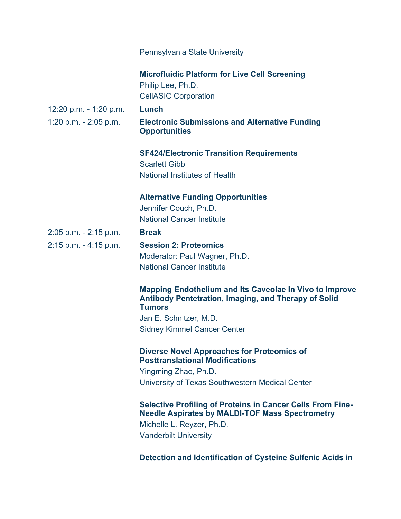|                          | Pennsylvania State University                                                                                                                  |
|--------------------------|------------------------------------------------------------------------------------------------------------------------------------------------|
|                          | <b>Microfluidic Platform for Live Cell Screening</b><br>Philip Lee, Ph.D.<br><b>CellASIC Corporation</b>                                       |
| 12:20 p.m. - 1:20 p.m.   | Lunch                                                                                                                                          |
| 1:20 p.m. $- 2:05$ p.m.  | <b>Electronic Submissions and Alternative Funding</b><br><b>Opportunities</b>                                                                  |
|                          | <b>SF424/Electronic Transition Requirements</b><br><b>Scarlett Gibb</b>                                                                        |
|                          | <b>National Institutes of Health</b>                                                                                                           |
|                          | <b>Alternative Funding Opportunities</b><br>Jennifer Couch, Ph.D.<br><b>National Cancer Institute</b>                                          |
| 2:05 p.m. - 2:15 p.m.    | <b>Break</b>                                                                                                                                   |
| $2:15$ p.m. $-4:15$ p.m. | <b>Session 2: Proteomics</b><br>Moderator: Paul Wagner, Ph.D.<br><b>National Cancer Institute</b>                                              |
|                          | <b>Mapping Endothelium and Its Caveolae In Vivo to Improve</b><br><b>Antibody Pentetration, Imaging, and Therapy of Solid</b><br><b>Tumors</b> |
|                          | Jan E. Schnitzer, M.D.                                                                                                                         |
|                          | <b>Sidney Kimmel Cancer Center</b>                                                                                                             |
|                          | <b>Diverse Novel Approaches for Proteomics of</b><br><b>Posttranslational Modifications</b>                                                    |
|                          | Yingming Zhao, Ph.D.                                                                                                                           |
|                          | University of Texas Southwestern Medical Center                                                                                                |
|                          | <b>Selective Profiling of Proteins in Cancer Cells From Fine-</b><br><b>Needle Aspirates by MALDI-TOF Mass Spectrometry</b>                    |
|                          | Michelle L. Reyzer, Ph.D.                                                                                                                      |
|                          | <b>Vanderbilt University</b>                                                                                                                   |
|                          | Detection and Identification of Cysteine Sulfenic Acids in                                                                                     |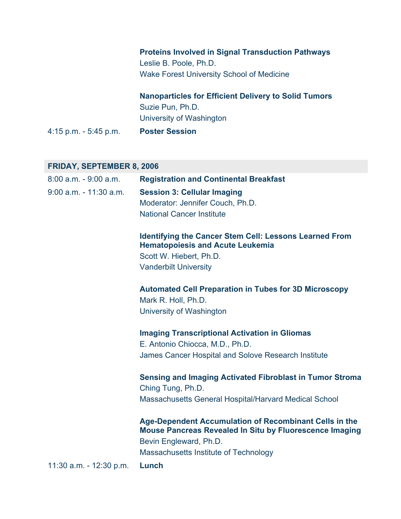|                       | <b>Proteins Involved in Signal Transduction Pathways</b>    |
|-----------------------|-------------------------------------------------------------|
|                       | Leslie B. Poole, Ph.D.                                      |
|                       | <b>Wake Forest University School of Medicine</b>            |
|                       | <b>Nanoparticles for Efficient Delivery to Solid Tumors</b> |
|                       | Suzie Pun, Ph.D.                                            |
|                       | University of Washington                                    |
| 4:15 p.m. - 5:45 p.m. | <b>Poster Session</b>                                       |
|                       |                                                             |
|                       |                                                             |

## **FRIDAY, SEPTEMBER 8, 2006**

| $8:00$ a.m. $-9:00$ a.m.  | <b>Registration and Continental Breakfast</b>                                                                                                      |
|---------------------------|----------------------------------------------------------------------------------------------------------------------------------------------------|
| $9:00$ a.m. $-11:30$ a.m. | <b>Session 3: Cellular Imaging</b>                                                                                                                 |
|                           | Moderator: Jennifer Couch, Ph.D.                                                                                                                   |
|                           | <b>National Cancer Institute</b>                                                                                                                   |
|                           |                                                                                                                                                    |
|                           | <b>Identifying the Cancer Stem Cell: Lessons Learned From</b><br><b>Hematopoiesis and Acute Leukemia</b>                                           |
|                           | Scott W. Hiebert, Ph.D.                                                                                                                            |
|                           | <b>Vanderbilt University</b>                                                                                                                       |
|                           | <b>Automated Cell Preparation in Tubes for 3D Microscopy</b>                                                                                       |
|                           | Mark R. Holl, Ph.D.                                                                                                                                |
|                           | University of Washington                                                                                                                           |
|                           | <b>Imaging Transcriptional Activation in Gliomas</b>                                                                                               |
|                           | E. Antonio Chiocca, M.D., Ph.D.                                                                                                                    |
|                           | James Cancer Hospital and Solove Research Institute                                                                                                |
|                           | <b>Sensing and Imaging Activated Fibroblast in Tumor Stroma</b>                                                                                    |
|                           | Ching Tung, Ph.D.                                                                                                                                  |
|                           | <b>Massachusetts General Hospital/Harvard Medical School</b>                                                                                       |
|                           |                                                                                                                                                    |
|                           | Age-Dependent Accumulation of Recombinant Cells in the<br><b>Mouse Pancreas Revealed In Situ by Fluorescence Imaging</b><br>Bevin Engleward, Ph.D. |
|                           | Massachusetts Institute of Technology                                                                                                              |
| 11:30 a.m. - 12:30 p.m.   | Lunch                                                                                                                                              |